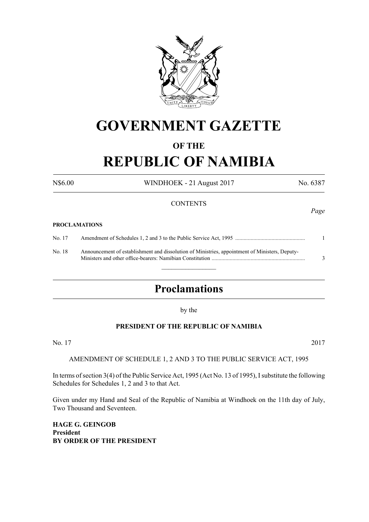

# **GOVERNMENT GAZETTE**

# **OF THE**

# **REPUBLIC OF NAMIBIA**

N\$6.00 WINDHOEK - 21 August 2017 No. 6387

#### **CONTENTS**

#### **PROCLAMATIONS**

No. 17 Amendment of Schedules 1, 2 and 3 to the Public Service Act, 1995 .................................................. 1 No. 18 Announcement of establishment and dissolution of Ministries, appointment of Ministers, Deputy-Ministers and other office-bearers: Namibian Constitution ................................................................... 3

 $\overline{\phantom{a}}$  , where  $\overline{\phantom{a}}$ 

# **Proclamations**

by the

# **PRESIDENT OF THE REPUBLIC OF NAMIBIA**

No. 17 2017

AMENDMENT OF SCHEDULE 1, 2 AND 3 TO THE PUBLIC SERVICE ACT, 1995

In terms of section 3(4) of the Public Service Act, 1995 (Act No. 13 of 1995), I substitute the following Schedules for Schedules 1, 2 and 3 to that Act.

Given under my Hand and Seal of the Republic of Namibia at Windhoek on the 11th day of July, Two Thousand and Seventeen.

**HAGE G. GEINGOB President BY ORDER OF THE PRESIDENT** *Page*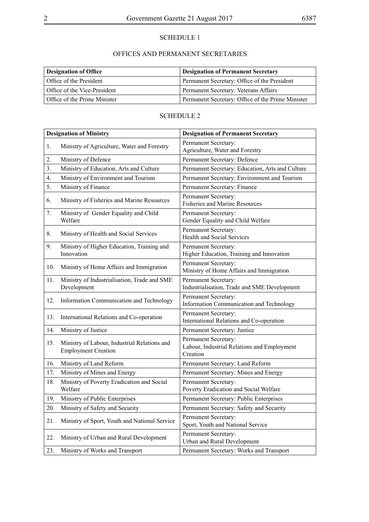# SCHEDULE 1

# OFFICES AND PERMANENT SECRETARIES

| <b>Designation of Office</b> | <b>Designation of Permanent Secretary</b>         |
|------------------------------|---------------------------------------------------|
| Office of the President      | Permanent Secretary: Office of the President      |
| Office of the Vice-President | Permanent Secretary: Veterans Affairs             |
| Office of the Prime Minister | Permanent Secretary: Office of the Prime Minister |

# SCHEDULE 2

| <b>Designation of Ministry</b> |                                                                            | <b>Designation of Permanent Secretary</b>                                       |  |
|--------------------------------|----------------------------------------------------------------------------|---------------------------------------------------------------------------------|--|
| 1.                             | Ministry of Agriculture, Water and Forestry                                | Permanent Secretary:<br>Agriculture, Water and Forestry                         |  |
| 2.                             | Ministry of Defence                                                        | Permanent Secretary: Defence                                                    |  |
| 3.                             | Ministry of Education, Arts and Culture                                    | Permanent Secretary: Education, Arts and Culture                                |  |
| 4.                             | Ministry of Environment and Tourism                                        | Permanent Secretary: Environment and Tourism                                    |  |
| 5.                             | Ministry of Finance                                                        | Permanent Secretary: Finance                                                    |  |
| 6.                             | Ministry of Fisheries and Marine Resources                                 | Permanent Secretary:<br><b>Fisheries and Marine Resources</b>                   |  |
| 7.                             | Ministry of Gender Equality and Child<br>Welfare                           | Permanent Secretary:<br>Gender Equality and Child Welfare                       |  |
| 8.                             | Ministry of Health and Social Services                                     | Permanent Secretary:<br><b>Health and Social Services</b>                       |  |
| 9.                             | Ministry of Higher Education, Training and<br>Innovation                   | Permanent Secretary:<br>Higher Education, Training and Innovation               |  |
| 10.                            | Ministry of Home Affairs and Immigration                                   | Permanent Secretary:<br>Ministry of Home Affairs and Immigration                |  |
| 11.                            | Ministry of Industrialisation, Trade and SME<br>Development                | Permanent Secretary:<br>Industrialisation, Trade and SME Development            |  |
| 12.                            | Information Communication and Technology                                   | Permanent Secretary:<br>Information Communication and Technology                |  |
| 13.                            | International Relations and Co-operation                                   | Permanent Secretary:<br>International Relations and Co-operation                |  |
| 14.                            | Ministry of Justice                                                        | Permanent Secretary: Justice                                                    |  |
| 15.                            | Ministry of Labour, Industrial Relations and<br><b>Employment Creation</b> | Permanent Secretary:<br>Labour, Industrial Relations and Employment<br>Creation |  |
| 16.                            | Ministry of Land Reform                                                    | Permanent Secretary: Land Reform                                                |  |
| 17.                            | Ministry of Mines and Energy                                               | Permanent Secretary: Mines and Energy                                           |  |
| 18.                            | Ministry of Poverty Eradication and Social<br>Welfare                      | Permanent Secretary:<br>Poverty Eradication and Social Welfare                  |  |
| 19.                            | Ministry of Public Enterprises                                             | Permanent Secretary: Public Enterprises                                         |  |
| 20.                            | Ministry of Safety and Security                                            | Permanent Secretary: Safety and Security                                        |  |
| 21.                            | Ministry of Sport, Youth and National Service                              | Permanent Secretary:<br>Sport, Youth and National Service                       |  |
| 22.                            | Ministry of Urban and Rural Development                                    | Permanent Secretary:<br>Urban and Rural Development                             |  |
| 23.                            | Ministry of Works and Transport                                            | Permanent Secretary: Works and Transport                                        |  |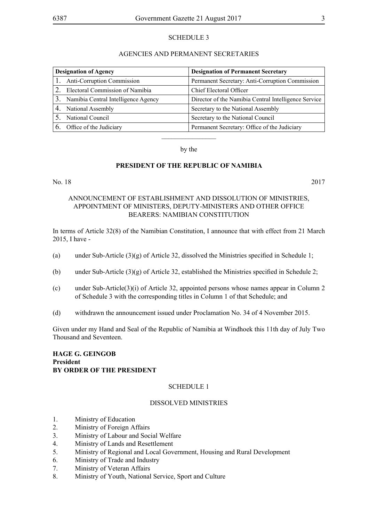### SCHEDULE 3

#### AGENCIES AND PERMANENT SECRETARIES

| <b>Designation of Agency</b> |                                     | <b>Designation of Permanent Secretary</b>            |  |
|------------------------------|-------------------------------------|------------------------------------------------------|--|
|                              | 1. Anti-Corruption Commission       | Permanent Secretary: Anti-Corruption Commission      |  |
|                              | Electoral Commission of Namibia     | Chief Electoral Officer                              |  |
|                              | Namibia Central Intelligence Agency | Director of the Namibia Central Intelligence Service |  |
|                              | <b>National Assembly</b>            | Secretary to the National Assembly                   |  |
|                              | National Council                    | Secretary to the National Council                    |  |
|                              | Office of the Judiciary             | Permanent Secretary: Office of the Judiciary         |  |
|                              |                                     |                                                      |  |

by the

#### **PRESIDENT OF THE REPUBLIC OF NAMIBIA**

#### No. 18 2017

## ANNOUNCEMENT OF ESTABLISHMENT AND DISSOLUTION OF MINISTRIES, APPOINTMENT OF MINISTERS, DEPUTY-MINISTERS AND OTHER OFFICE BEARERS: NAMIBIAN CONSTITUTION

In terms of Article 32(8) of the Namibian Constitution, I announce that with effect from 21 March 2015, I have -

- (a) under Sub-Article  $(3)(g)$  of Article 32, dissolved the Ministries specified in Schedule 1;
- (b) under Sub-Article (3)(g) of Article 32, established the Ministries specified in Schedule 2;
- (c) under Sub-Article(3)(i) of Article 32, appointed persons whose names appear in Column 2 of Schedule 3 with the corresponding titles in Column 1 of that Schedule; and
- (d) withdrawn the announcement issued under Proclamation No. 34 of 4 November 2015.

Given under my Hand and Seal of the Republic of Namibia at Windhoek this 11th day of July Two Thousand and Seventeen.

## **HAGE G. GEINGOB President BY ORDER OF THE PRESIDENT**

#### SCHEDULE 1

## DISSOLVED MINISTRIES

- 1. Ministry of Education
- 2. Ministry of Foreign Affairs
- 3. Ministry of Labour and Social Welfare
- 4. Ministry of Lands and Resettlement
- 5. Ministry of Regional and Local Government, Housing and Rural Development
- 6. Ministry of Trade and Industry
- 7. Ministry of Veteran Affairs
- 8. Ministry of Youth, National Service, Sport and Culture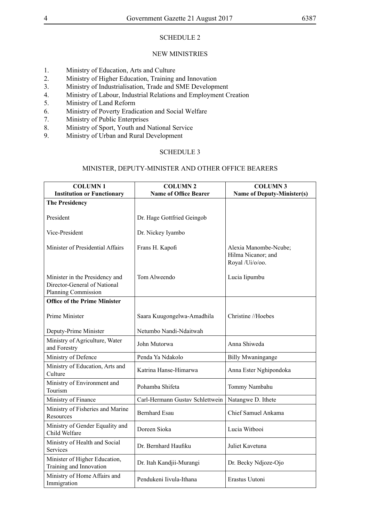### SCHEDULE 2

#### NEW MINISTRIES

- 1. Ministry of Education, Arts and Culture
- 2. Ministry of Higher Education, Training and Innovation<br>3. Ministry of Industrialisation. Trade and SME Developm
- Ministry of Industrialisation, Trade and SME Development
- 4. Ministry of Labour, Industrial Relations and Employment Creation
- 5. Ministry of Land Reform
- 6. Ministry of Poverty Eradication and Social Welfare
- 7. Ministry of Public Enterprises
- 8. Ministry of Sport, Youth and National Service<br>9. Ministry of Urban and Rural Development
- 9. Ministry of Urban and Rural Development

#### SCHEDULE 3

# MINISTER, DEPUTY-MINISTER AND OTHER OFFICE BEARERS

| <b>COLUMN1</b><br><b>Institution or Functionary</b>                                   | <b>COLUMN 2</b><br><b>Name of Office Bearer</b> | <b>COLUMN3</b><br><b>Name of Deputy-Minister(s)</b>            |
|---------------------------------------------------------------------------------------|-------------------------------------------------|----------------------------------------------------------------|
|                                                                                       |                                                 |                                                                |
| <b>The Presidency</b>                                                                 |                                                 |                                                                |
| President                                                                             | Dr. Hage Gottfried Geingob                      |                                                                |
| Vice-President                                                                        | Dr. Nickey Iyambo                               |                                                                |
| Minister of Presidential Affairs                                                      | Frans H. Kapofi                                 | Alexia Manombe-Ncube;<br>Hilma Nicanor; and<br>Royal /Ui/o/oo. |
| Minister in the Presidency and<br>Director-General of National<br>Planning Commission | Tom Alweendo                                    | Lucia Iipumbu                                                  |
| <b>Office of the Prime Minister</b>                                                   |                                                 |                                                                |
| Prime Minister                                                                        | Saara Kuugongelwa-Amadhila                      | Christine //Hoebes                                             |
| Deputy-Prime Minister                                                                 | Netumbo Nandi-Ndaitwah                          |                                                                |
| Ministry of Agriculture, Water<br>and Forestry                                        | John Mutorwa                                    | Anna Shiweda                                                   |
| Ministry of Defence                                                                   | Penda Ya Ndakolo                                | <b>Billy Mwaningange</b>                                       |
| Ministry of Education, Arts and<br>Culture                                            | Katrina Hanse-Himarwa                           | Anna Ester Nghipondoka                                         |
| Ministry of Environment and<br>Tourism                                                | Pohamba Shifeta                                 | Tommy Nambahu                                                  |
| Ministry of Finance                                                                   | Carl-Hermann Gustav Schlettwein                 | Natangwe D. Ithete                                             |
| Ministry of Fisheries and Marine<br>Resources                                         | <b>Bernhard Esau</b>                            | Chief Samuel Ankama                                            |
| Ministry of Gender Equality and<br>Child Welfare                                      | Doreen Sioka                                    | Lucia Witbooi                                                  |
| Ministry of Health and Social<br><b>Services</b>                                      | Dr. Bernhard Haufiku                            | Juliet Kavetuna                                                |
| Minister of Higher Education,<br>Training and Innovation                              | Dr. Itah Kandjii-Murangi                        | Dr. Becky Ndjoze-Ojo                                           |
| Ministry of Home Affairs and<br>Immigration                                           | Pendukeni Iivula-Ithana                         | Erastus Uutoni                                                 |